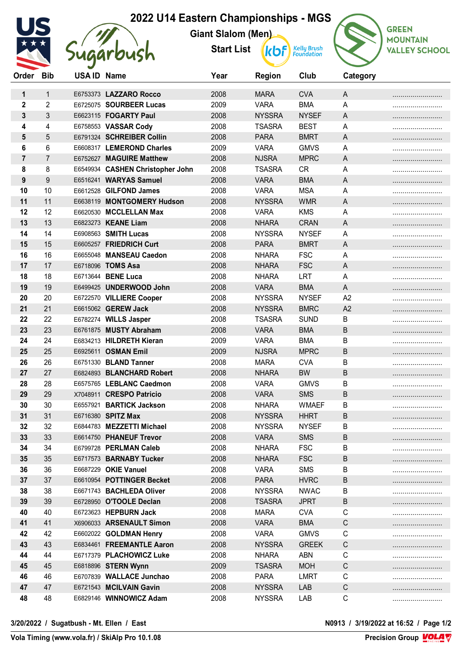## **2022 U14 Eastern Championships - MGS**



Sugarbush

**Giant Slalom (Men) Start List**

**Kelly Brush**<br>Foundation **kbf** 



| Order            | <b>Bib</b>     | USA ID Name |                                               | Year         | <b>Region</b>                  | Club                        | Category       |  |
|------------------|----------------|-------------|-----------------------------------------------|--------------|--------------------------------|-----------------------------|----------------|--|
|                  |                |             |                                               | 2008         |                                | <b>CVA</b>                  |                |  |
| 1                | $\mathbf{1}$   |             | E6753373 LAZZARO Rocco                        |              | <b>MARA</b>                    | <b>BMA</b>                  | A              |  |
| 2                | $\overline{2}$ |             | E6725075 SOURBEER Lucas                       | 2009         | <b>VARA</b>                    |                             | A              |  |
| 3<br>4           | 3              |             | E6623115 FOGARTY Paul<br>E6758553 VASSAR Cody | 2008<br>2008 | <b>NYSSRA</b><br><b>TSASRA</b> | <b>NYSEF</b><br><b>BEST</b> | A<br>A         |  |
|                  | 4              |             |                                               |              |                                |                             |                |  |
| 5                | 5              |             | E6791324 SCHREIBER Collin                     | 2008         | <b>PARA</b>                    | <b>BMRT</b>                 | A              |  |
| 6                | 6              |             | E6608317 LEMEROND Charles                     | 2009         | <b>VARA</b>                    | <b>GMVS</b>                 | A              |  |
| 7                | $\overline{7}$ |             | E6752627 MAGUIRE Matthew                      | 2008         | <b>NJSRA</b>                   | <b>MPRC</b>                 | A              |  |
| 8                | 8              |             | E6549934 CASHEN Christopher John              | 2008         | <b>TSASRA</b>                  | <b>CR</b>                   | A              |  |
| $\boldsymbol{9}$ | 9              |             | E6516241 WARYAS Samuel                        | 2008         | <b>VARA</b>                    | <b>BMA</b>                  | A              |  |
| 10               | 10<br>11       |             | E6612528 GILFOND James                        | 2008         | <b>VARA</b>                    | <b>MSA</b>                  | A              |  |
| 11               |                |             | E6638119 MONTGOMERY Hudson                    | 2008         | <b>NYSSRA</b>                  | <b>WMR</b>                  | A              |  |
| 12               | 12             |             | E6620530 MCCLELLAN Max                        | 2008         | <b>VARA</b>                    | <b>KMS</b>                  | Α              |  |
| 13               | 13             |             | E6823273 KEANE Liam                           | 2008         | <b>NHARA</b>                   | <b>CRAN</b>                 | A              |  |
| 14               | 14             |             | E6908563 SMITH Lucas                          | 2008         | <b>NYSSRA</b>                  | <b>NYSEF</b>                | A              |  |
| 15               | 15             |             | E6605257 FRIEDRICH Curt                       | 2008         | <b>PARA</b>                    | <b>BMRT</b>                 | A              |  |
| 16               | 16             |             | E6655048 MANSEAU Caedon                       | 2008         | <b>NHARA</b>                   | <b>FSC</b>                  | A              |  |
| 17               | 17             |             | E6718096 TOMS Asa                             | 2008         | <b>NHARA</b>                   | <b>FSC</b>                  | A              |  |
| 18               | 18             |             | E6713644 BENE Luca                            | 2008         | <b>NHARA</b>                   | LRT                         | A              |  |
| 19               | 19             |             | E6499425 UNDERWOOD John                       | 2008         | <b>VARA</b>                    | <b>BMA</b>                  | A              |  |
| 20               | 20             |             | E6722570 VILLIERE Cooper                      | 2008         | <b>NYSSRA</b>                  | <b>NYSEF</b>                | A <sub>2</sub> |  |
| 21               | 21             |             | E6615062 GEREW Jack                           | 2008         | <b>NYSSRA</b>                  | <b>BMRC</b>                 | A2             |  |
| 22               | 22             |             | E6782274 WILLS Jasper                         | 2008         | <b>TSASRA</b>                  | <b>SUND</b>                 | B              |  |
| 23               | 23             |             | E6761875 MUSTY Abraham                        | 2008         | <b>VARA</b>                    | <b>BMA</b>                  | B              |  |
| 24               | 24             |             | E6834213 HILDRETH Kieran                      | 2009         | <b>VARA</b>                    | <b>BMA</b>                  | В              |  |
| 25               | 25             |             | E6925611 OSMAN Emil                           | 2009         | <b>NJSRA</b>                   | <b>MPRC</b>                 | B              |  |
| 26               | 26             |             | E6751330 BLAND Tanner                         | 2008         | <b>MARA</b>                    | <b>CVA</b>                  | B              |  |
| 27               | 27             |             | E6824893 BLANCHARD Robert                     | 2008         | <b>NHARA</b>                   | <b>BW</b>                   | B              |  |
| 28               | 28             |             | E6575765 LEBLANC Caedmon                      | 2008         | <b>VARA</b>                    | <b>GMVS</b>                 | B              |  |
| 29               | 29             |             | X7048911 CRESPO Patricio                      | 2008         | <b>VARA</b>                    | <b>SMS</b>                  | B              |  |
| 30               | 30             |             | E6557921 BARTICK Jackson                      | 2008         | <b>NHARA</b>                   | <b>WMAEF</b>                | B              |  |
| 31               | 31             |             | E6716380 SPITZ Max                            | 2008         | <b>NYSSRA</b>                  | <b>HHRT</b>                 | B              |  |
| 32               | 32             |             | E6844783 MEZZETTI Michael                     | 2008         | <b>NYSSRA</b>                  | <b>NYSEF</b>                | B              |  |
| 33               | 33             |             | E6614750 PHANEUF Trevor                       | 2008         | <b>VARA</b>                    | <b>SMS</b>                  | B              |  |
| 34               | 34             |             | E6799728 PERLMAN Caleb                        | 2008         | <b>NHARA</b>                   | <b>FSC</b>                  | В              |  |
| 35               | 35             |             | E6717573 BARNABY Tucker                       | 2008         | <b>NHARA</b>                   | <b>FSC</b>                  | B              |  |
| 36               | 36             |             | E6687229 OKIE Vanuel                          | 2008         | <b>VARA</b>                    | <b>SMS</b>                  | В              |  |
| 37               | 37             |             | E6610954 POTTINGER Becket                     | 2008         | <b>PARA</b>                    | <b>HVRC</b>                 | В              |  |
| 38               | 38             |             | E6671743 BACHLEDA Oliver                      | 2008         | <b>NYSSRA</b>                  | <b>NWAC</b>                 | В              |  |
| 39               | 39             |             | E6728950 O'TOOLE Declan                       | 2008         | <b>TSASRA</b>                  | <b>JPRT</b>                 | Β              |  |
| 40               | 40             |             | E6723623 HEPBURN Jack                         | 2008         | <b>MARA</b>                    | <b>CVA</b>                  | C              |  |
| 41               | 41             |             | X6906033 ARSENAULT Simon                      | 2008         | <b>VARA</b>                    | <b>BMA</b>                  | $\mathsf C$    |  |
| 42               | 42             |             | E6602022 GOLDMAN Henry                        | 2008         | <b>VARA</b>                    | <b>GMVS</b>                 | C              |  |
| 43               | 43             |             | E6834461 FREEMANTLE Aaron                     | 2008         | <b>NYSSRA</b>                  | <b>GREEK</b>                | $\mathsf C$    |  |
| 44               | 44             |             | E6717379 PLACHOWICZ Luke                      | 2008         | <b>NHARA</b>                   | <b>ABN</b>                  | C              |  |
| 45               | 45             |             | E6818896 STERN Wynn                           | 2009         | <b>TSASRA</b>                  | <b>MOH</b>                  | C              |  |
| 46               | 46             |             | E6707839 WALLACE Junchao                      | 2008         | <b>PARA</b>                    | <b>LMRT</b>                 | C              |  |
| 47               | 47             |             | E6721543 MCILVAIN Gavin                       | 2008         | <b>NYSSRA</b>                  | LAB                         | $\mathsf C$    |  |
| 48               | 48             |             | E6829146 WINNOWICZ Adam                       | 2008         | <b>NYSSRA</b>                  | LAB                         | С              |  |